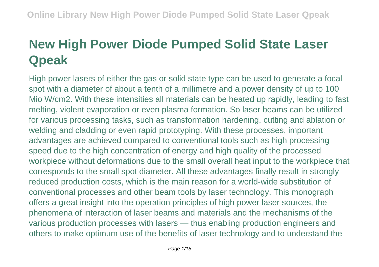# **New High Power Diode Pumped Solid State Laser Qpeak**

High power lasers of either the gas or solid state type can be used to generate a focal spot with a diameter of about a tenth of a millimetre and a power density of up to 100 Mio W/cm2. With these intensities all materials can be heated up rapidly, leading to fast melting, violent evaporation or even plasma formation. So laser beams can be utilized for various processing tasks, such as transformation hardening, cutting and ablation or welding and cladding or even rapid prototyping. With these processes, important advantages are achieved compared to conventional tools such as high processing speed due to the high concentration of energy and high quality of the processed workpiece without deformations due to the small overall heat input to the workpiece that corresponds to the small spot diameter. All these advantages finally result in strongly reduced production costs, which is the main reason for a world-wide substitution of conventional processes and other beam tools by laser technology. This monograph offers a great insight into the operation principles of high power laser sources, the phenomena of interaction of laser beams and materials and the mechanisms of the various production processes with lasers — thus enabling production engineers and others to make optimum use of the benefits of laser technology and to understand the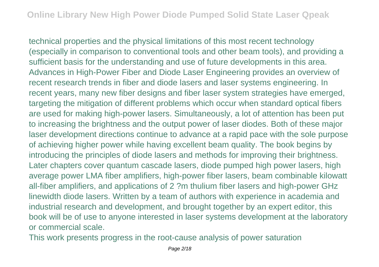technical properties and the physical limitations of this most recent technology (especially in comparison to conventional tools and other beam tools), and providing a sufficient basis for the understanding and use of future developments in this area. Advances in High-Power Fiber and Diode Laser Engineering provides an overview of recent research trends in fiber and diode lasers and laser systems engineering. In recent years, many new fiber designs and fiber laser system strategies have emerged, targeting the mitigation of different problems which occur when standard optical fibers are used for making high-power lasers. Simultaneously, a lot of attention has been put to increasing the brightness and the output power of laser diodes. Both of these major laser development directions continue to advance at a rapid pace with the sole purpose of achieving higher power while having excellent beam quality. The book begins by introducing the principles of diode lasers and methods for improving their brightness. Later chapters cover quantum cascade lasers, diode pumped high power lasers, high average power LMA fiber amplifiers, high-power fiber lasers, beam combinable kilowatt all-fiber amplifiers, and applications of 2 ?m thulium fiber lasers and high-power GHz linewidth diode lasers. Written by a team of authors with experience in academia and industrial research and development, and brought together by an expert editor, this book will be of use to anyone interested in laser systems development at the laboratory or commercial scale.

This work presents progress in the root-cause analysis of power saturation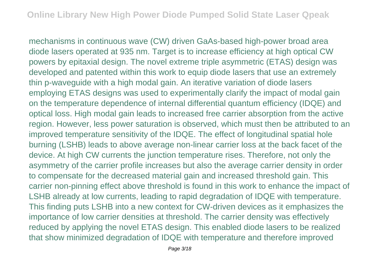mechanisms in continuous wave (CW) driven GaAs-based high-power broad area diode lasers operated at 935 nm. Target is to increase efficiency at high optical CW powers by epitaxial design. The novel extreme triple asymmetric (ETAS) design was developed and patented within this work to equip diode lasers that use an extremely thin p-waveguide with a high modal gain. An iterative variation of diode lasers employing ETAS designs was used to experimentally clarify the impact of modal gain on the temperature dependence of internal differential quantum efficiency (IDQE) and optical loss. High modal gain leads to increased free carrier absorption from the active region. However, less power saturation is observed, which must then be attributed to an improved temperature sensitivity of the IDQE. The effect of longitudinal spatial hole burning (LSHB) leads to above average non-linear carrier loss at the back facet of the device. At high CW currents the junction temperature rises. Therefore, not only the asymmetry of the carrier profile increases but also the average carrier density in order to compensate for the decreased material gain and increased threshold gain. This carrier non-pinning effect above threshold is found in this work to enhance the impact of LSHB already at low currents, leading to rapid degradation of IDQE with temperature. This finding puts LSHB into a new context for CW-driven devices as it emphasizes the importance of low carrier densities at threshold. The carrier density was effectively reduced by applying the novel ETAS design. This enabled diode lasers to be realized that show minimized degradation of IDQE with temperature and therefore improved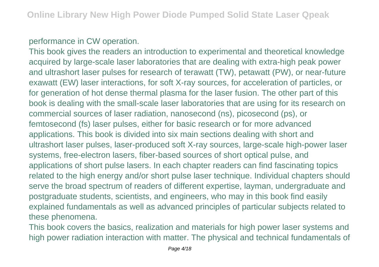### performance in CW operation.

This book gives the readers an introduction to experimental and theoretical knowledge acquired by large-scale laser laboratories that are dealing with extra-high peak power and ultrashort laser pulses for research of terawatt (TW), petawatt (PW), or near-future exawatt (EW) laser interactions, for soft X-ray sources, for acceleration of particles, or for generation of hot dense thermal plasma for the laser fusion. The other part of this book is dealing with the small-scale laser laboratories that are using for its research on commercial sources of laser radiation, nanosecond (ns), picosecond (ps), or femtosecond (fs) laser pulses, either for basic research or for more advanced applications. This book is divided into six main sections dealing with short and ultrashort laser pulses, laser-produced soft X-ray sources, large-scale high-power laser systems, free-electron lasers, fiber-based sources of short optical pulse, and applications of short pulse lasers. In each chapter readers can find fascinating topics related to the high energy and/or short pulse laser technique. Individual chapters should serve the broad spectrum of readers of different expertise, layman, undergraduate and postgraduate students, scientists, and engineers, who may in this book find easily explained fundamentals as well as advanced principles of particular subjects related to these phenomena.

This book covers the basics, realization and materials for high power laser systems and high power radiation interaction with matter. The physical and technical fundamentals of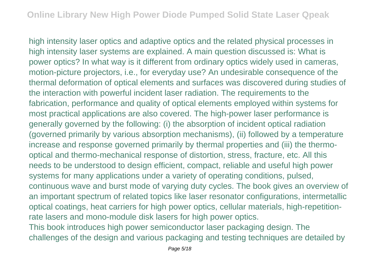high intensity laser optics and adaptive optics and the related physical processes in high intensity laser systems are explained. A main question discussed is: What is power optics? In what way is it different from ordinary optics widely used in cameras, motion-picture projectors, i.e., for everyday use? An undesirable consequence of the thermal deformation of optical elements and surfaces was discovered during studies of the interaction with powerful incident laser radiation. The requirements to the fabrication, performance and quality of optical elements employed within systems for most practical applications are also covered. The high-power laser performance is generally governed by the following: (i) the absorption of incident optical radiation (governed primarily by various absorption mechanisms), (ii) followed by a temperature increase and response governed primarily by thermal properties and (iii) the thermooptical and thermo-mechanical response of distortion, stress, fracture, etc. All this needs to be understood to design efficient, compact, reliable and useful high power systems for many applications under a variety of operating conditions, pulsed, continuous wave and burst mode of varying duty cycles. The book gives an overview of an important spectrum of related topics like laser resonator configurations, intermetallic optical coatings, heat carriers for high power optics, cellular materials, high-repetitionrate lasers and mono-module disk lasers for high power optics.

This book introduces high power semiconductor laser packaging design. The challenges of the design and various packaging and testing techniques are detailed by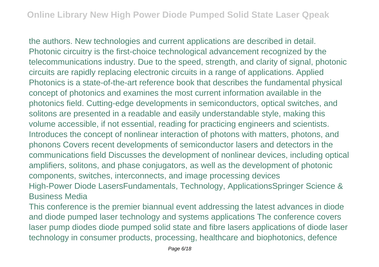the authors. New technologies and current applications are described in detail. Photonic circuitry is the first-choice technological advancement recognized by the telecommunications industry. Due to the speed, strength, and clarity of signal, photonic circuits are rapidly replacing electronic circuits in a range of applications. Applied Photonics is a state-of-the-art reference book that describes the fundamental physical concept of photonics and examines the most current information available in the photonics field. Cutting-edge developments in semiconductors, optical switches, and solitons are presented in a readable and easily understandable style, making this volume accessible, if not essential, reading for practicing engineers and scientists. Introduces the concept of nonlinear interaction of photons with matters, photons, and phonons Covers recent developments of semiconductor lasers and detectors in the communications field Discusses the development of nonlinear devices, including optical amplifiers, solitons, and phase conjugators, as well as the development of photonic components, switches, interconnects, and image processing devices High-Power Diode LasersFundamentals, Technology, ApplicationsSpringer Science & Business Media

This conference is the premier biannual event addressing the latest advances in diode and diode pumped laser technology and systems applications The conference covers laser pump diodes diode pumped solid state and fibre lasers applications of diode laser technology in consumer products, processing, healthcare and biophotonics, defence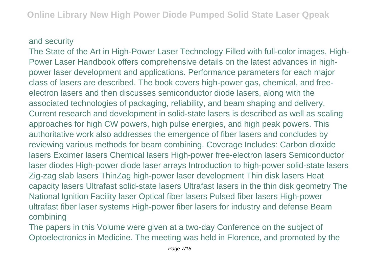#### and security

The State of the Art in High-Power Laser Technology Filled with full-color images, High-Power Laser Handbook offers comprehensive details on the latest advances in highpower laser development and applications. Performance parameters for each major class of lasers are described. The book covers high-power gas, chemical, and freeelectron lasers and then discusses semiconductor diode lasers, along with the associated technologies of packaging, reliability, and beam shaping and delivery. Current research and development in solid-state lasers is described as well as scaling approaches for high CW powers, high pulse energies, and high peak powers. This authoritative work also addresses the emergence of fiber lasers and concludes by reviewing various methods for beam combining. Coverage Includes: Carbon dioxide lasers Excimer lasers Chemical lasers High-power free-electron lasers Semiconductor laser diodes High-power diode laser arrays Introduction to high-power solid-state lasers Zig-zag slab lasers ThinZag high-power laser development Thin disk lasers Heat capacity lasers Ultrafast solid-state lasers Ultrafast lasers in the thin disk geometry The National Ignition Facility laser Optical fiber lasers Pulsed fiber lasers High-power ultrafast fiber laser systems High-power fiber lasers for industry and defense Beam combining

The papers in this Volume were given at a two-day Conference on the subject of Optoelectronics in Medicine. The meeting was held in Florence, and promoted by the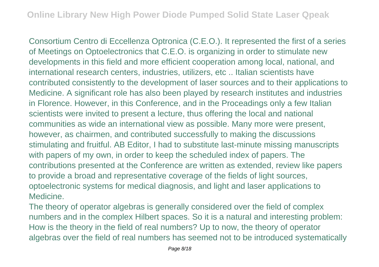Consortium Centro di Eccellenza Optronica (C.E.O.). It represented the first of a series of Meetings on Optoelectronics that C.E.O. is organizing in order to stimulate new developments in this field and more efficient cooperation among local, national, and international research centers, industries, utilizers, etc .. Italian scientists have contributed consistently to the development of laser sources and to their applications to Medicine. A significant role has also been played by research institutes and industries in Florence. However, in this Conference, and in the Proceadings only a few Italian scientists were invited to present a lecture, thus offering the local and national communities as wide an international view as possible. Many more were present, however, as chairmen, and contributed successfully to making the discussions stimulating and fruitful. AB Editor, I had to substitute last-minute missing manuscripts with papers of my own, in order to keep the scheduled index of papers. The contributions presented at the Conference are written as extended, review like papers to provide a broad and representative coverage of the fields of light sources, optoelectronic systems for medical diagnosis, and light and laser applications to Medicine.

The theory of operator algebras is generally considered over the field of complex numbers and in the complex Hilbert spaces. So it is a natural and interesting problem: How is the theory in the field of real numbers? Up to now, the theory of operator algebras over the field of real numbers has seemed not to be introduced systematically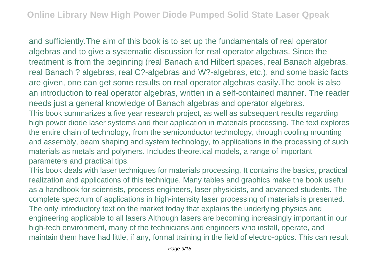and sufficiently.The aim of this book is to set up the fundamentals of real operator algebras and to give a systematic discussion for real operator algebras. Since the treatment is from the beginning (real Banach and Hilbert spaces, real Banach algebras, real Banach ? algebras, real C?-algebras and W?-algebras, etc.), and some basic facts are given, one can get some results on real operator algebras easily.The book is also an introduction to real operator algebras, written in a self-contained manner. The reader needs just a general knowledge of Banach algebras and operator algebras. This book summarizes a five year research project, as well as subsequent results regarding high power diode laser systems and their application in materials processing. The text explores the entire chain of technology, from the semiconductor technology, through cooling mounting and assembly, beam shaping and system technology, to applications in the processing of such materials as metals and polymers. Includes theoretical models, a range of important parameters and practical tips.

This book deals with laser techniques for materials processing. It contains the basics, practical realization and applications of this technique. Many tables and graphics make the book useful as a handbook for scientists, process engineers, laser physicists, and advanced students. The complete spectrum of applications in high-intensity laser processing of materials is presented. The only introductory text on the market today that explains the underlying physics and engineering applicable to all lasers Although lasers are becoming increasingly important in our high-tech environment, many of the technicians and engineers who install, operate, and maintain them have had little, if any, formal training in the field of electro-optics. This can result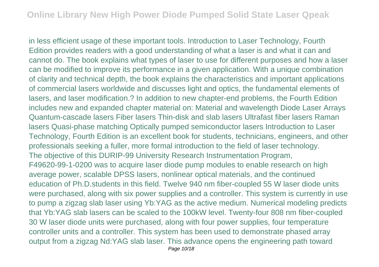in less efficient usage of these important tools. Introduction to Laser Technology, Fourth Edition provides readers with a good understanding of what a laser is and what it can and cannot do. The book explains what types of laser to use for different purposes and how a laser can be modified to improve its performance in a given application. With a unique combination of clarity and technical depth, the book explains the characteristics and important applications of commercial lasers worldwide and discusses light and optics, the fundamental elements of lasers, and laser modification.? In addition to new chapter-end problems, the Fourth Edition includes new and expanded chapter material on: Material and wavelength Diode Laser Arrays Quantum-cascade lasers Fiber lasers Thin-disk and slab lasers Ultrafast fiber lasers Raman lasers Quasi-phase matching Optically pumped semiconductor lasers Introduction to Laser Technology, Fourth Edition is an excellent book for students, technicians, engineers, and other professionals seeking a fuller, more formal introduction to the field of laser technology. The objective of this DURIP-99 University Research Instrumentation Program, F49620-99-1-0200 was to acquire laser diode pump modules to enable research on high average power, scalable DPSS lasers, nonlinear optical materials, and the continued education of Ph.D.students in this field. Twelve 940 nm fiber-coupled 55 W laser diode units were purchased, along with six power supplies and a controller. This system is currently in use to pump a zigzag slab laser using Yb:YAG as the active medium. Numerical modeling predicts that Yb:YAG slab lasers can be scaled to the 100kW level. Twenty-four 808 nm fiber-coupled 30 W laser diode units were purchased, along with four power supplies, four temperature controller units and a controller. This system has been used to demonstrate phased array output from a zigzag Nd:YAG slab laser. This advance opens the engineering path toward Page 10/18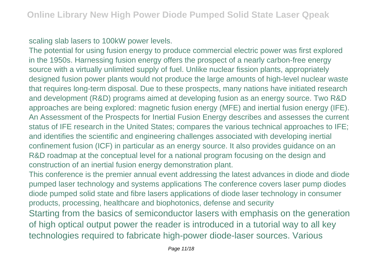#### scaling slab lasers to 100kW power levels.

The potential for using fusion energy to produce commercial electric power was first explored in the 1950s. Harnessing fusion energy offers the prospect of a nearly carbon-free energy source with a virtually unlimited supply of fuel. Unlike nuclear fission plants, appropriately designed fusion power plants would not produce the large amounts of high-level nuclear waste that requires long-term disposal. Due to these prospects, many nations have initiated research and development (R&D) programs aimed at developing fusion as an energy source. Two R&D approaches are being explored: magnetic fusion energy (MFE) and inertial fusion energy (IFE). An Assessment of the Prospects for Inertial Fusion Energy describes and assesses the current status of IFE research in the United States; compares the various technical approaches to IFE; and identifies the scientific and engineering challenges associated with developing inertial confinement fusion (ICF) in particular as an energy source. It also provides guidance on an R&D roadmap at the conceptual level for a national program focusing on the design and construction of an inertial fusion energy demonstration plant.

This conference is the premier annual event addressing the latest advances in diode and diode pumped laser technology and systems applications The conference covers laser pump diodes diode pumped solid state and fibre lasers applications of diode laser technology in consumer products, processing, healthcare and biophotonics, defense and security Starting from the basics of semiconductor lasers with emphasis on the generation of high optical output power the reader is introduced in a tutorial way to all key technologies required to fabricate high-power diode-laser sources. Various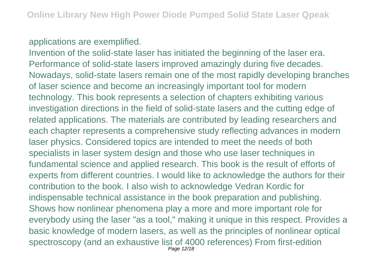## applications are exemplified.

Invention of the solid-state laser has initiated the beginning of the laser era. Performance of solid-state lasers improved amazingly during five decades. Nowadays, solid-state lasers remain one of the most rapidly developing branches of laser science and become an increasingly important tool for modern technology. This book represents a selection of chapters exhibiting various investigation directions in the field of solid-state lasers and the cutting edge of related applications. The materials are contributed by leading researchers and each chapter represents a comprehensive study reflecting advances in modern laser physics. Considered topics are intended to meet the needs of both specialists in laser system design and those who use laser techniques in fundamental science and applied research. This book is the result of efforts of experts from different countries. I would like to acknowledge the authors for their contribution to the book. I also wish to acknowledge Vedran Kordic for indispensable technical assistance in the book preparation and publishing. Shows how nonlinear phenomena play a more and more important role for everybody using the laser "as a tool," making it unique in this respect. Provides a basic knowledge of modern lasers, as well as the principles of nonlinear optical spectroscopy (and an exhaustive list of 4000 references) From first-edition Page 12/18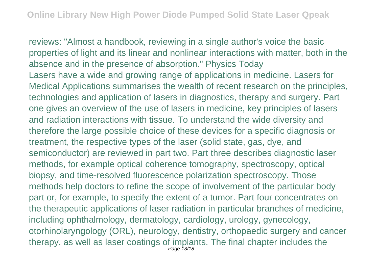reviews: "Almost a handbook, reviewing in a single author's voice the basic properties of light and its linear and nonlinear interactions with matter, both in the absence and in the presence of absorption." Physics Today Lasers have a wide and growing range of applications in medicine. Lasers for Medical Applications summarises the wealth of recent research on the principles, technologies and application of lasers in diagnostics, therapy and surgery. Part one gives an overview of the use of lasers in medicine, key principles of lasers and radiation interactions with tissue. To understand the wide diversity and therefore the large possible choice of these devices for a specific diagnosis or treatment, the respective types of the laser (solid state, gas, dye, and semiconductor) are reviewed in part two. Part three describes diagnostic laser methods, for example optical coherence tomography, spectroscopy, optical biopsy, and time-resolved fluorescence polarization spectroscopy. Those methods help doctors to refine the scope of involvement of the particular body part or, for example, to specify the extent of a tumor. Part four concentrates on the therapeutic applications of laser radiation in particular branches of medicine, including ophthalmology, dermatology, cardiology, urology, gynecology, otorhinolaryngology (ORL), neurology, dentistry, orthopaedic surgery and cancer therapy, as well as laser coatings of implants. The final chapter includes the Page 13/18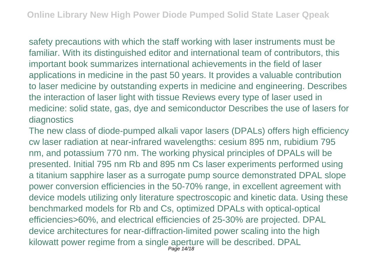safety precautions with which the staff working with laser instruments must be familiar. With its distinguished editor and international team of contributors, this important book summarizes international achievements in the field of laser applications in medicine in the past 50 years. It provides a valuable contribution to laser medicine by outstanding experts in medicine and engineering. Describes the interaction of laser light with tissue Reviews every type of laser used in medicine: solid state, gas, dye and semiconductor Describes the use of lasers for diagnostics

The new class of diode-pumped alkali vapor lasers (DPALs) offers high efficiency cw laser radiation at near-infrared wavelengths: cesium 895 nm, rubidium 795 nm, and potassium 770 nm. The working physical principles of DPALs will be presented. Initial 795 nm Rb and 895 nm Cs laser experiments performed using a titanium sapphire laser as a surrogate pump source demonstrated DPAL slope power conversion efficiencies in the 50-70% range, in excellent agreement with device models utilizing only literature spectroscopic and kinetic data. Using these benchmarked models for Rb and Cs, optimized DPALs with optical-optical efficiencies>60%, and electrical efficiencies of 25-30% are projected. DPAL device architectures for near-diffraction-limited power scaling into the high kilowatt power regime from a single aperture will be described. DPAL Page 14/18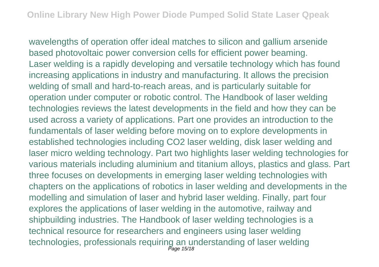wavelengths of operation offer ideal matches to silicon and gallium arsenide based photovoltaic power conversion cells for efficient power beaming. Laser welding is a rapidly developing and versatile technology which has found increasing applications in industry and manufacturing. It allows the precision welding of small and hard-to-reach areas, and is particularly suitable for operation under computer or robotic control. The Handbook of laser welding technologies reviews the latest developments in the field and how they can be used across a variety of applications. Part one provides an introduction to the fundamentals of laser welding before moving on to explore developments in established technologies including CO2 laser welding, disk laser welding and laser micro welding technology. Part two highlights laser welding technologies for various materials including aluminium and titanium alloys, plastics and glass. Part three focuses on developments in emerging laser welding technologies with chapters on the applications of robotics in laser welding and developments in the modelling and simulation of laser and hybrid laser welding. Finally, part four explores the applications of laser welding in the automotive, railway and shipbuilding industries. The Handbook of laser welding technologies is a technical resource for researchers and engineers using laser welding technologies, professionals requiring an understanding of laser welding<br>Page 15/18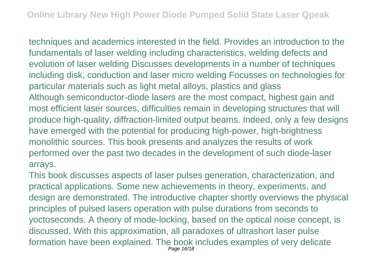techniques and academics interested in the field. Provides an introduction to the fundamentals of laser welding including characteristics, welding defects and evolution of laser welding Discusses developments in a number of techniques including disk, conduction and laser micro welding Focusses on technologies for particular materials such as light metal alloys, plastics and glass Although semiconductor-diode lasers are the most compact, highest gain and most efficient laser sources, difficulties remain in developing structures that will produce high-quality, diffraction-limited output beams. Indeed, only a few designs have emerged with the potential for producing high-power, high-brightness monolithic sources. This book presents and analyzes the results of work performed over the past two decades in the development of such diode-laser arrays.

This book discusses aspects of laser pulses generation, characterization, and practical applications. Some new achievements in theory, experiments, and design are demonstrated. The introductive chapter shortly overviews the physical principles of pulsed lasers operation with pulse durations from seconds to yoctoseconds. A theory of mode-locking, based on the optical noise concept, is discussed. With this approximation, all paradoxes of ultrashort laser pulse formation have been explained. The book includes examples of very delicate Page 16/18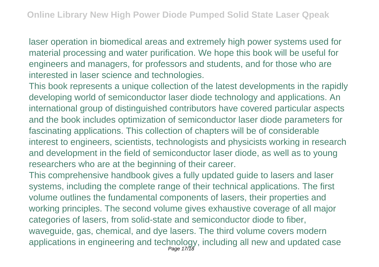laser operation in biomedical areas and extremely high power systems used for material processing and water purification. We hope this book will be useful for engineers and managers, for professors and students, and for those who are interested in laser science and technologies.

This book represents a unique collection of the latest developments in the rapidly developing world of semiconductor laser diode technology and applications. An international group of distinguished contributors have covered particular aspects and the book includes optimization of semiconductor laser diode parameters for fascinating applications. This collection of chapters will be of considerable interest to engineers, scientists, technologists and physicists working in research and development in the field of semiconductor laser diode, as well as to young researchers who are at the beginning of their career.

This comprehensive handbook gives a fully updated guide to lasers and laser systems, including the complete range of their technical applications. The first volume outlines the fundamental components of lasers, their properties and working principles. The second volume gives exhaustive coverage of all major categories of lasers, from solid-state and semiconductor diode to fiber, waveguide, gas, chemical, and dye lasers. The third volume covers modern applications in engineering and technology, including all new and updated case